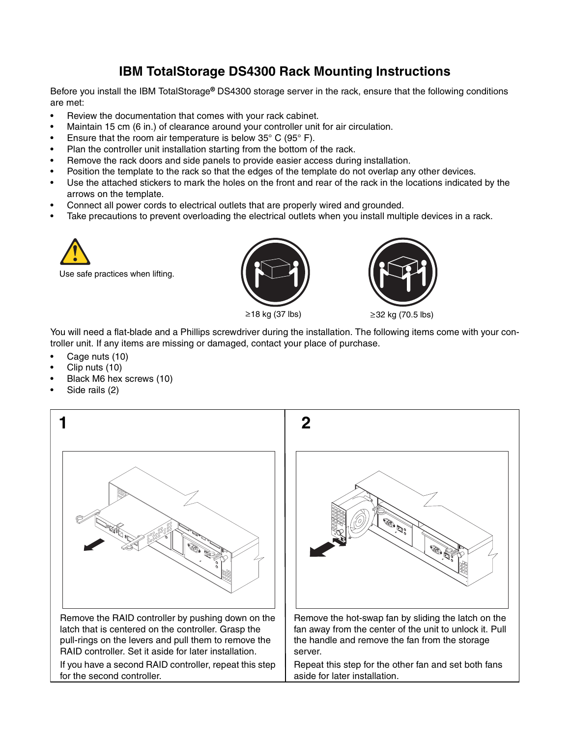## **IBM TotalStorage DS4300 Rack Mounting Instructions**

Before you install the IBM TotalStorage**®** DS4300 storage server in the rack, ensure that the following conditions are met:

- Review the documentation that comes with your rack cabinet.
- Maintain 15 cm (6 in.) of clearance around your controller unit for air circulation.
- Ensure that the room air temperature is below  $35^{\circ}$  C (95 $^{\circ}$  F).
- Plan the controller unit installation starting from the bottom of the rack.
- Remove the rack doors and side panels to provide easier access during installation.
- Position the template to the rack so that the edges of the template do not overlap any other devices.
- Use the attached stickers to mark the holes on the front and rear of the rack in the locations indicated by the arrows on the template.
- Connect all power cords to electrical outlets that are properly wired and grounded.
- Take precautions to prevent overloading the electrical outlets when you install multiple devices in a rack.



Use safe practices when lifting.





You will need a flat-blade and a Phillips screwdriver during the installation. The following items come with your controller unit. If any items are missing or damaged, contact your place of purchase.

- Cage nuts (10)
- Clip nuts (10)
- Black M6 hex screws (10)
- Side rails (2)

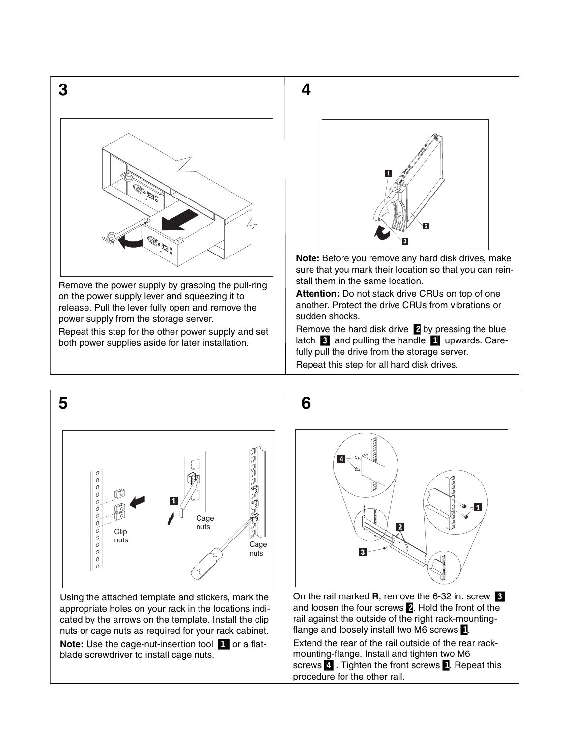

Remove the power supply by grasping the pull-ring on the power supply lever and squeezing it to release. Pull the lever fully open and remove the power supply from the storage server.

Repeat this step for the other power supply and set both power supplies aside for later installation.



**Note:** Before you remove any hard disk drives, make sure that you mark their location so that you can reinstall them in the same location.

**Attention:** Do not stack drive CRUs on top of one another. Protect the drive CRUs from vibrations or sudden shocks.

Remove the hard disk drive  $\blacksquare$  by pressing the blue latch **3** and pulling the handle **1** upwards. Carefully pull the drive from the storage server.

Repeat this step for all hard disk drives.

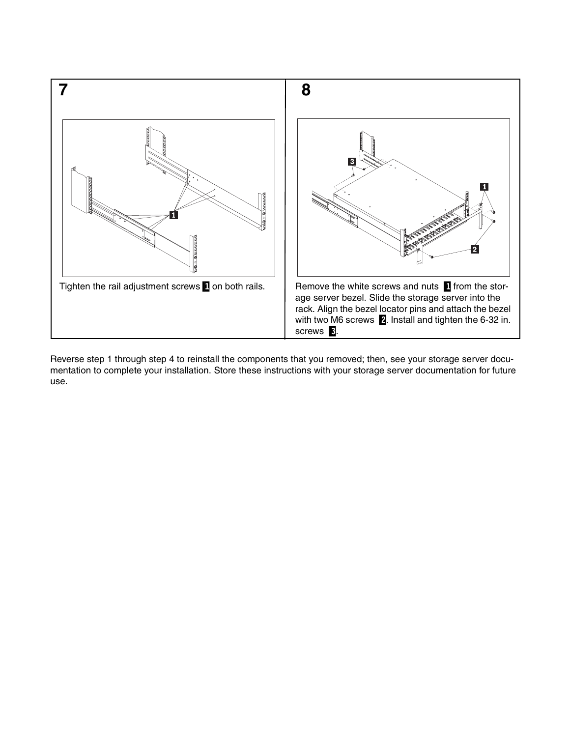

Reverse step 1 through step 4 to reinstall the components that you removed; then, see your storage server documentation to complete your installation. Store these instructions with your storage server documentation for future use.